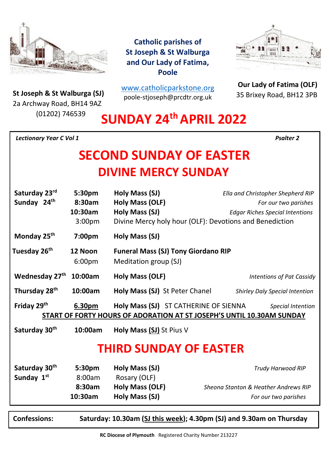

**St Joseph & St Walburga (SJ)**<br>23 Archway Road, BH14 9A7 2a Archway Road, BH14 9AZ (01202) 746539

**Catholic parishes of St Joseph & St Walburga and Our Lady of Fatima, Poole**

[www.catholicparkstone.o](http://www.catholicparkstone.org/)[rg](http://www.catholicparkstone.org/) poole-stjoseph@prcdtr.org.uk



**Our Lady of Fatima (OLF)** 35 Brixey Road, BH12 3PB

# **SUNDAY 24thAPRIL 2022**

*Lectionary Year C Vol 1**Psalter 2*

# **SECOND SUNDAY OF EASTER DIVINE MERCY SUNDAY**

| Saturday 23rd<br>Sunday 24 <sup>th</sup> | 5:30pm<br>8:30am<br>10:30am<br>3:00 <sub>pm</sub> | Holy Mass (SJ)<br>Holy Mass (OLF)<br>Holy Mass (SJ)<br>Divine Mercy holy hour (OLF): Devotions and Benediction | Ella and Christopher Shepherd RIP<br>For our two parishes<br><b>Edgar Riches Special Intentions</b> |
|------------------------------------------|---------------------------------------------------|----------------------------------------------------------------------------------------------------------------|-----------------------------------------------------------------------------------------------------|
| Monday 25 <sup>th</sup>                  | 7:00pm                                            | Holy Mass (SJ)                                                                                                 |                                                                                                     |
| Tuesday 26 <sup>th</sup>                 | 12 Noon<br>6:00pm                                 | <b>Funeral Mass (SJ) Tony Giordano RIP</b><br>Meditation group (SJ)                                            |                                                                                                     |
| Wednesday 27th                           | 10:00am                                           | Holy Mass (OLF)                                                                                                | <b>Intentions of Pat Cassidy</b>                                                                    |
| Thursday 28 <sup>th</sup>                | 10:00am                                           | <b>Holy Mass (SJ) St Peter Chanel</b>                                                                          | <b>Shirley Daly Special Intention</b>                                                               |
| Friday 29th                              | 6.30pm                                            | Holy Mass (SJ) ST CATHERINE OF SIENNA                                                                          | Special Intention<br>START OF FORTY HOURS OF ADORATION AT ST JOSEPH'S UNTIL 10.30AM SUNDAY          |
| Saturday 30th                            | 10:00am                                           | Holy Mass (SJ) St Pius V                                                                                       |                                                                                                     |
| <b>THIRD SUNDAY OF EASTER</b>            |                                                   |                                                                                                                |                                                                                                     |
| Saturday 30 <sup>th</sup>                | 5:30pm                                            | Holy Mass (SJ)                                                                                                 | <b>Trudy Harwood RIP</b>                                                                            |
| Sunday 1st                               | 8:00am                                            | Rosary (OLF)                                                                                                   |                                                                                                     |
|                                          | 8:30am                                            | Holy Mass (OLF)                                                                                                | Sheona Stanton & Heather Andrews RIP                                                                |
|                                          | 10:30am                                           | Holy Mass (SJ)                                                                                                 | For our two parishes                                                                                |

**(SJ)**

**Confessions: Saturday: 10.30am (SJ this week); 4.30pm (SJ) and 9.30am on Thursday**